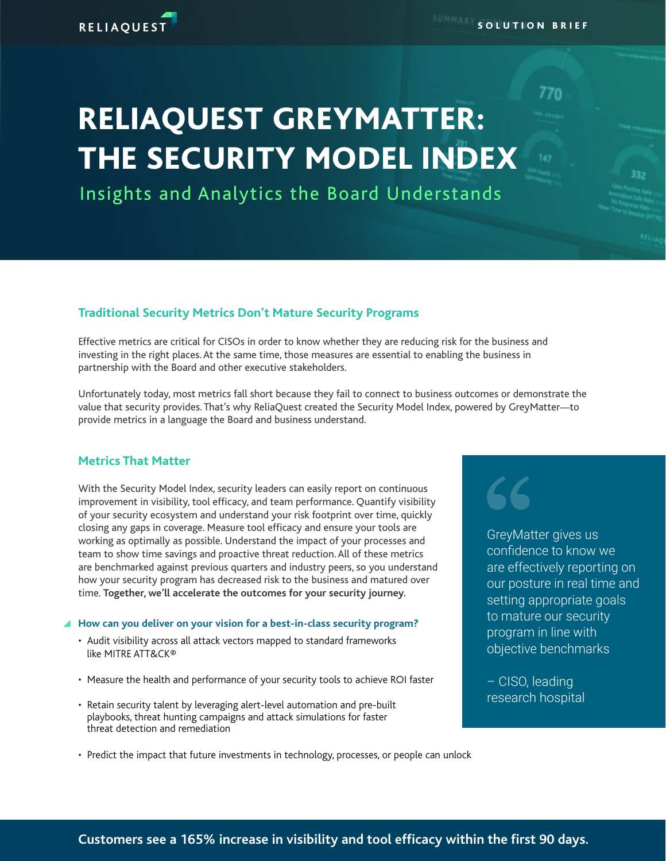# RELIAQUEST GREYMATTER: THE SECURITY MODEL INDEX

Insights and Analytics the Board Understands

# **Traditional Security Metrics Don't Mature Security Programs**

Effective metrics are critical for CISOs in order to know whether they are reducing risk for the business and investing in the right places. At the same time, those measures are essential to enabling the business in partnership with the Board and other executive stakeholders.

Unfortunately today, most metrics fall short because they fail to connect to business outcomes or demonstrate the value that security provides. That's why ReliaQuest created the Security Model Index, powered by GreyMatter—to provide metrics in a language the Board and business understand.

## **Metrics That Matter**

**RELIAQUEST** 

With the Security Model Index, security leaders can easily report on continuous improvement in visibility, tool efficacy, and team performance. Quantify visibility of your security ecosystem and understand your risk footprint over time, quickly closing any gaps in coverage. Measure tool efficacy and ensure your tools are working as optimally as possible. Understand the impact of your processes and team to show time savings and proactive threat reduction. All of these metrics are benchmarked against previous quarters and industry peers, so you understand how your security program has decreased risk to the business and matured over time. **Together, we'll accelerate the outcomes for your security journey.** 

## **■ How can you deliver on your vision for a best-in-class security program?**

- Audit visibility across all attack vectors mapped to standard frameworks like MITRE ATT&CK®
- Measure the health and performance of your security tools to achieve ROI faster
- Retain security talent by leveraging alert-level automation and pre-built playbooks, threat hunting campaigns and attack simulations for faster threat detection and remediation
- Predict the impact that future investments in technology, processes, or people can unlock

770

SOLUTION BRIEF

GreyMatter gives us confidence to know we are effectively reporting on our posture in real time and setting appropriate goals to mature our security program in line with objective benchmarks

– CISO, leading research hospital